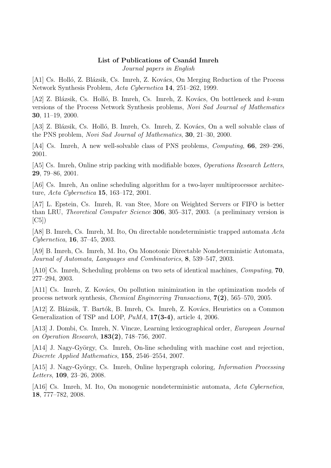# List of Publications of Csanád Imreh

Journal papers in English

[A1] Cs. Holló, Z. Blázsik, Cs. Imreh, Z. Kovács, On Merging Reduction of the Process Network Synthesis Problem, Acta Cybernetica 14, 251–262, 1999.

[A2] Z. Blázsik, Cs. Holló, B. Imreh, Cs. Imreh, Z. Kovács, On bottleneck and  $k$ -sum versions of the Process Network Synthesis problems, Novi Sad Journal of Mathematics 30, 11–19, 2000.

[A3] Z. Blázsik, Cs. Holló, B. Imreh, Cs. Imreh, Z. Kovács, On a well solvable class of the PNS problem, Novi Sad Journal of Mathematics, 30, 21–30, 2000.

[A4] Cs. Imreh, A new well-solvable class of PNS problems, *Computing*, **66**, 289–296, 2001.

[A5] Cs. Imreh, Online strip packing with modifiable boxes, Operations Research Letters, 29, 79–86, 2001.

[A6] Cs. Imreh, An online scheduling algorithm for a two-layer multiprocessor architecture, Acta Cybernetica 15, 163–172, 2001.

[A7] L. Epstein, Cs. Imreh, R. van Stee, More on Weighted Servers or FIFO is better than LRU, Theoretical Computer Science 306, 305–317, 2003. (a preliminary version is  $|C5|$ 

[A8] B. Imreh, Cs. Imreh, M. Ito, On directable nondeterministic trapped automata Acta Cybernetica, 16, 37–45, 2003.

[A9] B. Imreh, Cs. Imreh, M. Ito, On Monotonic Directable Nondeterministic Automata, Journal of Automata, Languages and Combinatorics, 8, 539–547, 2003.

[A10] Cs. Imreh, Scheduling problems on two sets of identical machines, Computing, 70, 277–294, 2003.

[A11] Cs. Imreh, Z. Kovács, On pollution minimization in the optimization models of process network synthesis, Chemical Engineering Transactions, 7(2), 565–570, 2005.

[A12] Z. Blázsik, T. Bartók, B. Imreh, Cs. Imreh, Z. Kovács, Heuristics on a Common Generalization of TSP and LOP,  $PuMA$ , 17(3-4), article 4, 2006.

[A13] J. Dombi, Cs. Imreh, N. Vincze, Learning lexicographical order, European Journal on Operation Research, 183(2), 748–756, 2007.

[A14] J. Nagy-György, Cs. Imreh, On-line scheduling with machine cost and rejection, Discrete Applied Mathematics, 155, 2546–2554, 2007.

[A15] J. Nagy-György, Cs. Imreh, Online hypergraph coloring, *Information Processing* Letters, 109, 23–26, 2008.

[A16] Cs. Imreh, M. Ito, On monogenic nondeterministic automata, Acta Cybernetica, 18, 777–782, 2008.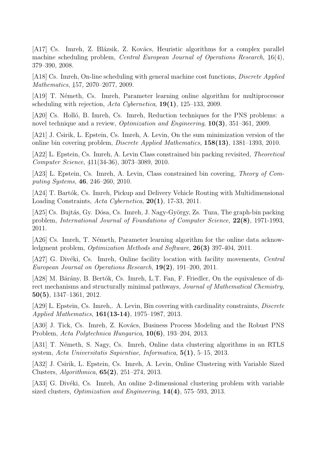[A17] Cs. Imreh, Z. Blázsik, Z. Kovács, Heuristic algorithms for a complex parallel machine scheduling problem, Central European Journal of Operations Research, 1 ¯  $6(4),$ 379–390, 2008.

[A18] Cs. Imreh, On-line scheduling with general machine cost functions, Discrete Applied Mathematics, 1 ¯ 57, 2070–2077, 2009.

[A19] T. Németh, Cs. Imreh, Parameter learning online algorithm for multiprocessor scheduling with rejection, Acta Cybernetica,  $19(1)$ , 125–133, 2009.

[A20] Cs. Holló, B. Imreh, Cs. Imreh, Reduction techniques for the PNS problems: a novel technique and a review, *Optimization and Engineering*, **10(3)**, 351–361, 2009.

[A21] J. Csirik, L. Epstein, Cs. Imreh, A. Levin, On the sum minimization version of the online bin covering problem, Discrete Applied Mathematics, 158(13), 1381–1393, 2010.

[A22] L. Epstein, Cs. Imreh, A. Levin Class constrained bin packing revisited, Theoretical Computer Science, 4 ¯ 11(34-36), 3073–3089, 2010.

[A23] L. Epstein, Cs. Imreh, A. Levin, Class constrained bin covering, Theory of Computing Systems, 46, 246–260, 2010.

[A24] T. Bartók, Cs. Imreh, Pickup and Delivery Vehicle Routing with Multidimensional Loading Constraints, Acta Cybernetica, 20(1), 17-33, 2011.

[A25] Cs. Bujtás, Gy. Dósa, Cs. Imreh, J. Nagy-György, Zs. Tuza, The graph-bin packing problem, International Journal of Foundations of Computer Science, 22(8), 1971-1993, 2011.

[A26] Cs. Imreh, T. Németh, Parameter learning algorithm for the online data acknowledgment problem, *Optimization Methods and Software*, **26(3)** 397-404, 2011.

[A27] G. Divéki, Cs. Imreh, Online facility location with facility movements, Central European Journal on Operations Research, 19(2), 191–200, 2011.

[A28] M. Bárány, B. Bertók, Cs. Imreh, L.T. Fan, F. Friedler, On the equivalence of direct mechanisms and structurally minimal pathways, Journal of Mathematical Chemistry, 50(5), 1347–1361, 2012.

[A29] L. Epstein, Cs. Imreh,. A. Levin, Bin covering with cardinality constraints, *Discrete* Applied Mathematics, 161(13-14), 1975–1987, 2013.

[A30] J. Tick, Cs. Imreh, Z. Kovács, Business Process Modeling and the Robust PNS Problem, Acta Polytechnica Hungarica, 10(6), 193–204, 2013.

[A31] T. Németh, S. Nagy, Cs. Imreh, Online data clustering algorithms in an RTLS system, Acta Universitatis Sapientiae, Informatica,  $5(1)$ , 5-15, 2013.

[A32] J. Csirik, L. Epstein, Cs. Imreh, A. Levin, Online Clustering with Variable Sized Clusters, Algorithmica, 65(2), 251–274, 2013.

[A33] G. Divéki, Cs. Imreh, An online 2-dimensional clustering problem with variable sized clusters, *Optimization and Engineering*, 14(4), 575–593, 2013.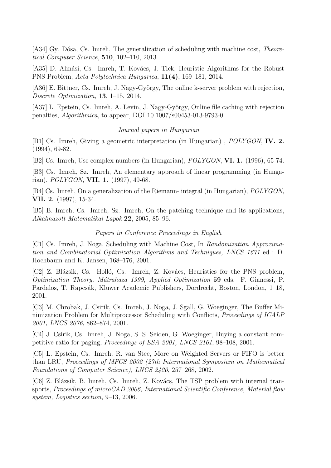[A34] Gy. Dósa, Cs. Imreh, The generalization of scheduling with machine cost, *Theore*tical Computer Science, 510, 102–110, 2013.

[A35] D. Almási, Cs. Imreh, T. Kovács, J. Tick, Heuristic Algorithms for the Robust PNS Problem, Acta Polytechnica Hungarica, 11(4), 169–181, 2014.

[A36] E. Bittner, Cs. Imreh, J. Nagy-György, The online k-server problem with rejection, Discrete Optimization, 13, 1–15, 2014.

[A37] L. Epstein, Cs. Imreh, A. Levin, J. Nagy-György, Online file caching with rejection penalties, Algorithmica, to appear, DOI 10.1007/s00453-013-9793-0

## Journal papers in Hungarian

[B1] Cs. Imreh, Giving a geometric interpretation (in Hungarian) , POLYGON, IV. 2. (1994), 69-82.

[B2] Cs. Imreh, Use complex numbers (in Hungarian), POLYGON, VI. 1. (1996), 65-74.

[B3] Cs. Imreh, Sz. Imreh, An elementary approach of linear programming (in Hungarian), POLYGON, VII. 1. (1997), 49-68.

[B4] Cs. Imreh, On a generalization of the Riemann- integral (in Hungarian), POLYGON, VII. 2. (1997), 15-34.

[B5] B. Imreh, Cs. Imreh, Sz. Imreh, On the patching technique and its applications, Alkalmazott Matematikai Lapok 22, 2005, 85–96.

### Papers in Conference Proceedings in English

[C1] Cs. Imreh, J. Noga, Scheduling with Machine Cost, In Randomization Approximation and Combinatorial Optimization Algorithms and Techniques, LNCS 1671 ed.: D. Hochbaum and K. Jansen, 168–176, 2001.

[C2] Z. Blázsik, Cs. Holló, Cs. Imreh, Z. Kovács, Heuristics for the PNS problem, Optimization Theory, Mátrahaza 1999, Applied Optimization 59 eds. F. Gianessi, P. Pardalos, T. Rapcsák, Kluwer Academic Publishers, Dordrecht, Boston, London, 1–18, 2001.

[C3] M. Chrobak, J. Csirik, Cs. Imreh, J. Noga, J. Sgall, G. Woeginger, The Buffer Minimization Problem for Multiprocessor Scheduling with Conflicts, Proceedings of ICALP 2001, LNCS 2076, 862–874, 2001.

[C4] J. Csirik, Cs. Imreh, J. Noga, S. S. Seiden, G. Woeginger, Buying a constant competitive ratio for paging, Proceedings of ESA 2001, LNCS 2161, 98–108, 2001.

[C5] L. Epstein, Cs. Imreh, R. van Stee, More on Weighted Servers or FIFO is better than LRU, Proceedings of MFCS 2002 (27th International Symposium on Mathematical Foundations of Computer Science), LNCS 2420, 257–268, 2002.

[C6] Z. Blázsik, B. Imreh, Cs. Imreh, Z. Kovács, The TSP problem with internal transports, Proceedings of microCAD 2006, International Scientific Conference, Material flow system, Logistics section, 9–13, 2006.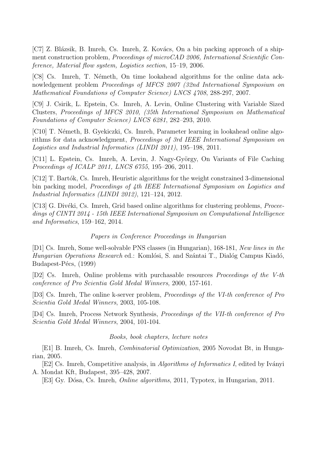[C7] Z. Blázsik, B. Imreh, Cs. Imreh, Z. Kovács, On a bin packing approach of a shipment construction problem, *Proceedings of microCAD 2006*, *International Scientific Con*ference, Material flow system, Logistics section, 15–19, 2006.

[C8] Cs. Imreh, T. Németh, On time lookahead algorithms for the online data acknowledgement problem Proceedings of MFCS 2007 (32nd International Symposium on Mathematical Foundations of Computer Science) LNCS 4708, 288-297, 2007.

[C9] J. Csirik, L. Epstein, Cs. Imreh, A. Levin, Online Clustering with Variable Sized Clusters, Proceedings of MFCS 2010, (35th International Symposium on Mathematical Foundations of Computer Science) LNCS 6281, 282–293, 2010.

[C10] T. Németh, B. Gyekiczki, Cs. Imreh, Parameter learning in lookahead online algorithms for data acknowledgment, Proceedings of 3rd IEEE International Symposium on Logistics and Industrial Informatics (LINDI 2011), 195–198, 2011.

[C11] L. Epstein, Cs. Imreh, A. Levin, J. Nagy-György, On Variants of File Caching Proceedings of ICALP 2011, LNCS 6755, 195–206, 2011.

[C12] T. Bartók, Cs. Imreh, Heuristic algorithms for the weight constrained 3-dimensional bin packing model, Proceedings of 4th IEEE International Symposium on Logistics and Industrial Informatics (LINDI 2012), 121–124, 2012.

[C13] G. Divéki, Cs. Imreh, Grid based online algorithms for clustering problems, *Procee*dings of CINTI 2014 - 15th IEEE International Symposium on Computational Intelligence and Informatics, 159–162, 2014.

### Papers in Conference Proceedings in Hungarian

[D1] Cs. Imreh, Some well-solvable PNS classes (in Hungarian), 168-181, New lines in the Hungarian Operations Research ed.: Komlósi, S. and Szántai T., Dialóg Campus Kiadó, Budapest-Pécs, (1999)

[D2] Cs. Imreh, Online problems with purchasable resources Proceedings of the V-th conference of Pro Scientia Gold Medal Winners, 2000, 157-161.

[D3] Cs. Imreh, The online k-server problem, Proceedings of the VI-th conference of Pro Scientia Gold Medal Winners, 2003, 105-108.

[D4] Cs. Imreh, Process Network Synthesis, Proceedings of the VII-th conference of Pro Scientia Gold Medal Winners, 2004, 101-104.

### Books, book chapters, lecture notes

[E1] B. Imreh, Cs. Imreh, Combinatorial Optimization, 2005 Novodat Bt, in Hungarian, 2005.

[E2] Cs. Imreh, Competitive analysis, in *Algorithms of Informatics I*, edited by Iványi A. Mondat Kft, Budapest, 395–428, 2007.

[E3] Gy. D´osa, Cs. Imreh, Online algorithms, 2011, Typotex, in Hungarian, 2011.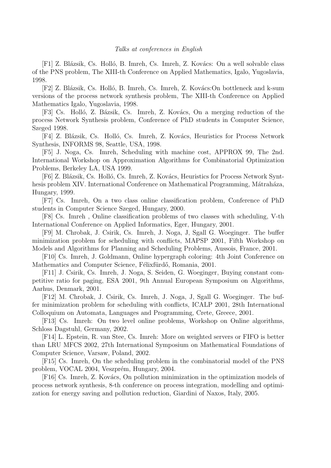[F1] Z. Blázsik, Cs. Holló, B. Imreh, Cs. Imreh, Z. Kovács: On a well solvable class of the PNS problem, The XIII-th Conference on Applied Mathematics, Igalo, Yugoslavia, 1998.

[F2] Z. Blázsik, Cs. Holló, B. Imreh, Cs. Imreh, Z. Kovács:On bottleneck and k-sum versions of the process network synthesis problem, The XIII-th Conference on Applied Mathematics Igalo, Yugoslavia, 1998.

[F3] Cs. Holló, Z. Bázsik, Cs. Imreh, Z. Kovács, On a merging reduction of the process Network Synthesis problem, Conference of PhD students in Computer Science, Szeged 1998.

[F4] Z. Blázsik, Cs. Holló, Cs. Imreh, Z. Kovács, Heuristics for Process Network Synthesis, INFORMS 98, Seattle, USA, 1998.

[F5] J. Noga, Cs. Imreh, Scheduling with machine cost, APPROX 99, The 2nd. International Workshop on Approximation Algorithms for Combinatorial Optimization Problems, Berkeley LA, USA 1999.

[F6] Z. Blázsik, Cs. Holló, Cs. Imreh, Z. Kovács, Heuristics for Process Network Synthesis problem XIV. International Conference on Mathematical Programming, Mátraháza, Hungary, 1999.

[F7] Cs. Imreh, On a two class online classification problem, Conference of PhD students in Computer Science Szeged, Hungary, 2000.

[F8] Cs. Imreh , Online classification problems of two classes with scheduling, V-th International Conference on Applied Informatics, Eger, Hungary, 2001.

[F9] M. Chrobak, J. Csirik, Cs. Imreh, J. Noga, J, Sgall G. Woeginger. The buffer minimization problem for scheduling with conflicts, MAPSP 2001, Fifth Workshop on Models and Algorithms for Planning and Scheduling Problems, Aussois, France, 2001.

[F10] Cs. Imreh, J. Goldmann, Online hypergraph coloring: 4th Joint Conference on Mathematics and Computer Science, Félixfürdő, Romania, 2001.

[F11] J. Csirik, Cs. Imreh, J. Noga, S. Seiden, G. Woeginger, Buying constant competitive ratio for paging, ESA 2001, 9th Annual European Symposium on Algorithms, Aarhus, Denmark, 2001.

[F12] M. Chrobak, J. Csirik, Cs. Imreh, J. Noga, J, Sgall G. Woeginger. The buffer minimization problem for scheduling with conflicts, ICALP 2001, 28th International Colloquium on Automata, Languages and Programming, Crete, Greece, 2001.

[F13] Cs. Imreh: On two level online problems, Workshop on Online algorithms, Schloss Dagstuhl, Germany, 2002.

[F14] L. Epstein, R. van Stee, Cs. Imreh: More on weighted servers or FIFO is better than LRU MFCS 2002, 27th International Symposium on Mathematical Foundations of Computer Science, Varsaw, Poland, 2002.

[F15] Cs. Imreh, On the scheduling problem in the combinatorial model of the PNS problem, VOCAL 2004, Veszprém, Hungary, 2004.

[F16] Cs. Imreh, Z. Kovács, On pollution minimization in the optimization models of process network synthesis, 8-th conference on process integration, modelling and optimization for energy saving and pollution reduction, Giardini of Naxos, Italy, 2005.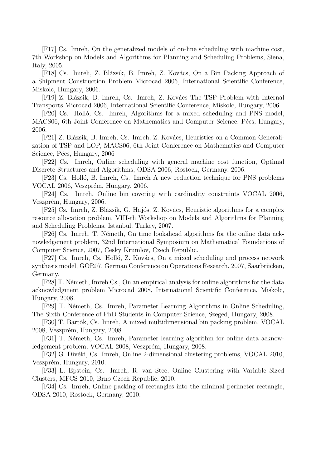[F17] Cs. Imreh, On the generalized models of on-line scheduling with machine cost, 7th Workshop on Models and Algorithms for Planning and Scheduling Problems, Siena, Italy, 2005.

[F18] Cs. Imreh, Z. Blázsik, B. Imreh, Z. Kovács, On a Bin Packing Approach of a Shipment Construction Problem Microcad 2006, International Scientific Conference, Miskolc, Hungary, 2006.

[F19] Z. Blázsik, B. Imreh, Cs. Imreh, Z. Kovács The TSP Problem with Internal Transports Microcad 2006, International Scientific Conference, Miskolc, Hungary, 2006.

[F20] Cs. Holló, Cs. Imreh, Algorithms for a mixed scheduling and PNS model, MACS06, 6th Joint Conference on Mathematics and Computer Science, Pécs, Hungary, 2006.

[F21] Z. Blázsik, B. Imreh, Cs. Imreh, Z. Kovács, Heuristics on a Common Generalization of TSP and LOP, MACS06, 6th Joint Conference on Mathematics and Computer Science, Pécs, Hungary, 2006

[F22] Cs. Imreh, Online scheduling with general machine cost function, Optimal Discrete Structures and Algorithms, ODSA 2006, Rostock, Germany, 2006.

[F23] Cs. Holló, B. Imreh, Cs. Imreh A new reduction technique for PNS problems VOCAL 2006, Veszprém, Hungary, 2006.

[F24] Cs. Imreh, Online bin covering with cardinality constraints VOCAL 2006, Veszprém, Hungary, 2006.

[F25] Cs. Imreh, Z. Blázsik, G. Hajós, Z. Kovács, Heuristic algorithms for a complex resource allocation problem, VIII-th Workshop on Models and Algorithms for Planning and Scheduling Problems, Istanbul, Turkey, 2007.

[F26] Cs. Imreh, T. Németh, On time lookahead algorithms for the online data acknowledgement problem, 32nd International Symposium on Mathematical Foundations of Computer Science, 2007, Cesky Krumlov, Czech Republic.

[F27] Cs. Imreh, Cs. Holló, Z. Kovács, On a mixed scheduling and process network synthesis model, GOR07, German Conference on Operations Research, 2007, Saarbrücken, Germany.

[F28] T. Németh, Imreh Cs., On an empirical analysis for online algorithms for the data acknowledgment problem Microcad 2008, International Scientific Conference, Miskolc, Hungary, 2008.

[F29] T. Németh, Cs. Imreh, Parameter Learning Algorithms in Online Scheduling, The Sixth Conference of PhD Students in Computer Science, Szeged, Hungary, 2008.

[F30] T. Bartók, Cs. Imreh, A mixed multidimensional bin packing problem, VOCAL 2008, Veszprém, Hungary, 2008.

[F31] T. Németh, Cs. Imreh, Parameter learning algorithm for online data acknowledgement problem, VOCAL 2008, Veszprém, Hungary, 2008.

[F32] G. Divéki, Cs. Imreh, Online 2-dimensional clustering problems, VOCAL 2010, Veszprém, Hungary, 2010.

[F33] L. Epstein, Cs. Imreh, R. van Stee, Online Clustering with Variable Sized Clusters, MFCS 2010, Brno Czech Republic, 2010.

[F34] Cs. Imreh, Online packing of rectangles into the minimal perimeter rectangle, ODSA 2010, Rostock, Germany, 2010.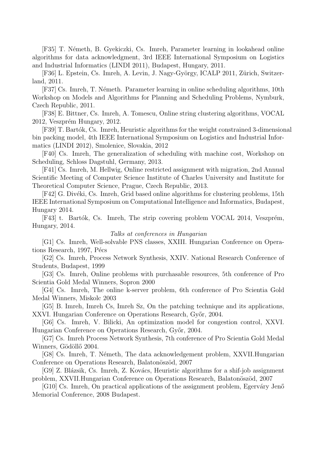[F35] T. N´emeth, B. Gyekiczki, Cs. Imreh, Parameter learning in lookahead online algorithms for data acknowledgment, 3rd IEEE International Symposium on Logistics and Industrial Informatics (LINDI 2011), Budapest, Hungary, 2011.

[F36] L. Epstein, Cs. Imreh, A. Levin, J. Nagy-György, ICALP 2011, Zürich, Switzerland, 2011.

[F37] Cs. Imreh, T. N´emeth. Parameter learning in online scheduling algorithms, 10th Workshop on Models and Algorithms for Planning and Scheduling Problems, Nymburk, Czech Republic, 2011.

[F38] E. Bittner, Cs. Imreh, A. Tomescu, Online string clustering algorithms, VOCAL 2012, Veszprém Hungary, 2012.

[F39] T. Bartók, Cs. Imreh, Heuristic algorithms for the weight constrained 3-dimensional bin packing model, 4th IEEE International Symposium on Logistics and Industrial Informatics (LINDI 2012), Smolenice, Slovakia, 2012

[F40] Cs. Imreh, The generalization of scheduling with machine cost, Workshop on Scheduling, Schloss Dagstuhl, Germany, 2013.

[F41] Cs. Imreh, M. Hellwig, Online restricted assignment with migration, 2nd Annual Scientific Meeting of Computer Science Institute of Charles University and Institute for Theoretical Computer Science, Prague, Czech Republic, 2013.

[F42] G. Divéki, Cs. Imreh, Grid based online algorithms for clustering problems, 15th IEEE International Symposium on Computational Intelligence and Informatics, Budapest, Hungary 2014.

[F43] t. Bartók, Cs. Imreh, The strip covering problem VOCAL 2014, Veszprém, Hungary, 2014.

### Talks at conferences in Hungarian

[G1] Cs. Imreh, Well-solvable PNS classes, XXIII. Hungarian Conference on Operations Research, 1997, Pécs

[G2] Cs. Imreh, Process Network Synthesis, XXIV. National Research Conference of Students, Budapest, 1999

[G3] Cs. Imreh, Online problems with purchasable resources, 5th conference of Pro Scientia Gold Medal Winners, Sopron 2000

[G4] Cs. Imreh, The online k-server problem, 6th conference of Pro Scientia Gold Medal Winners, Miskolc 2003

[G5] B. Imreh, Imreh Cs, Imreh Sz, On the patching technique and its applications, XXVI. Hungarian Conference on Operations Research, Győr, 2004.

[G6] Cs. Imreh, V. Bilicki, An optimization model for congestion control, XXVI. Hungarian Conference on Operations Research, Győr, 2004.

[G7] Cs. Imreh Process Network Synthesis, 7th conference of Pro Scientia Gold Medal Winners, Gödöllő 2004.

[G8] Cs. Imreh, T. Németh, The data acknowledgement problem, XXVII.Hungarian Conference on Operations Research, Balatonöszöd, 2007

[G9] Z. Blázsik, Cs. Imreh, Z. Kovács, Heuristic algorithms for a shif-job assignment problem, XXVII.Hungarian Conference on Operations Research, Balatonöszöd, 2007

[G10] Cs. Imreh, On practical applications of the assignment problem, Egerváry Jenő Memorial Conference, 2008 Budapest.